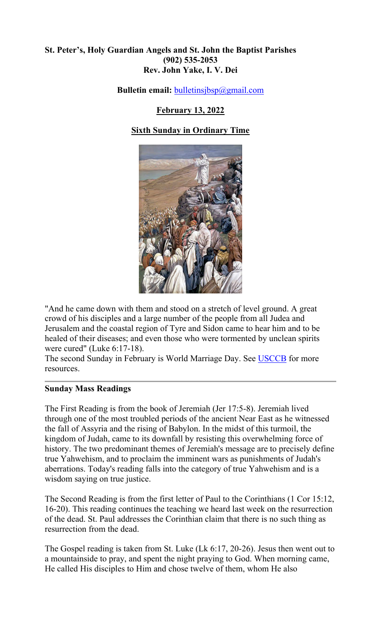## **St. Peter's, Holy Guardian Angels and St. John the Baptist Parishes (902) 535-2053 Rev. John Yake, I. V. Dei**

**Bulletin email:** [bulletinsjbsp@gmail.com](mailto:bulletinsjbsp@gmail.com)

# **February 13, 2022**

# **Sixth Sunday in Ordinary Time**



"And he came down with them and stood on a stretch of level ground. A great crowd of his disciples and a large number of the people from all Judea and Jerusalem and the coastal region of Tyre and Sidon came to hear him and to be healed of their diseases; and even those who were tormented by unclean spirits were cured" (Luke 6:17-18).

The second Sunday in February is World Marriage Day. See [USCCB](https://www.usccb.org/topics/marriage-and-family-life-ministries/national-marriage-week) for more resources.

#### **Sunday Mass Readings**

The First Reading is from the book of Jeremiah (Jer 17:5-8). Jeremiah lived through one of the most troubled periods of the ancient Near East as he witnessed the fall of Assyria and the rising of Babylon. In the midst of this turmoil, the kingdom of Judah, came to its downfall by resisting this overwhelming force of history. The two predominant themes of Jeremiah's message are to precisely define true Yahwehism, and to proclaim the imminent wars as punishments of Judah's aberrations. Today's reading falls into the category of true Yahwehism and is a wisdom saying on true justice.

The Second Reading is from the first letter of Paul to the Corinthians (1 Cor 15:12, 16-20). This reading continues the teaching we heard last week on the resurrection of the dead. St. Paul addresses the Corinthian claim that there is no such thing as resurrection from the dead.

The Gospel reading is taken from St. Luke (Lk 6:17, 20-26). Jesus then went out to a mountainside to pray, and spent the night praying to God. When morning came, He called His disciples to Him and chose twelve of them, whom He also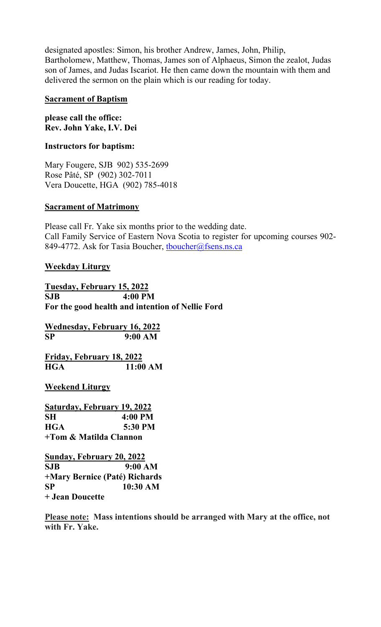designated apostles: Simon, his brother Andrew, James, John, Philip, Bartholomew, Matthew, Thomas, James son of Alphaeus, Simon the zealot, Judas son of James, and Judas Iscariot. He then came down the mountain with them and delivered the sermon on the plain which is our reading for today.

### **Sacrament of Baptism**

**please call the office: Rev. John Yake, I.V. Dei** 

## **Instructors for baptism:**

Mary Fougere, SJB 902) 535-2699 Rose Pâté, SP (902) 302-7011 Vera Doucette, HGA (902) 785-4018

# **Sacrament of Matrimony**

Please call Fr. Yake six months prior to the wedding date. Call Family Service of Eastern Nova Scotia to register for upcoming courses 902- 849-4772. Ask for Tasia Boucher, thoucher@fsens.ns.ca

## **Weekday Liturgy**

**Tuesday, February 15, 2022 SJB 4:00 PM For the good health and intention of Nellie Ford**

**Wednesday, February 16, 2022 SP 9:00 AM**

**Friday, February 18, 2022 HGA 11:00 AM**

**Weekend Liturgy**

**Saturday, February 19, 2022 SH 4:00 PM HGA 5:30 PM +Tom & Matilda Clannon**

**Sunday, February 20, 2022 SJB 9:00 AM +Mary Bernice (Paté) Richards SP 10:30 AM + Jean Doucette**

**Please note: Mass intentions should be arranged with Mary at the office, not with Fr. Yake.**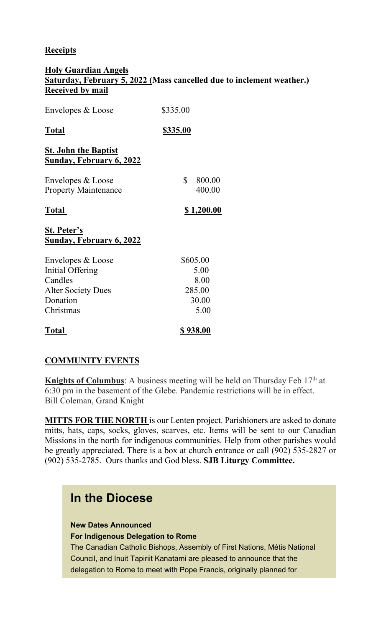# **Receipts**

### **Holy Guardian Angels Saturday, February 5, 2022 (Mass cancelled due to inclement weather.) Received by mail**

| Envelopes & Loose                                              | \$335.00               |
|----------------------------------------------------------------|------------------------|
| <b>Total</b>                                                   | \$335.00               |
| <b>St. John the Baptist</b><br><b>Sunday, February 6, 2022</b> |                        |
| Envelopes & Loose<br><b>Property Maintenance</b>               | \$<br>800.00<br>400.00 |
| <b>Total</b>                                                   | \$1,200.00             |
| <b>St. Peter's</b><br><b>Sunday, February 6, 2022</b>          |                        |
| Envelopes & Loose                                              | \$605.00               |
| Initial Offering                                               | 5.00                   |
| Candles                                                        | 8.00                   |
| <b>Alter Society Dues</b>                                      | 285.00                 |
| Donation                                                       | 30.00                  |
| Christmas                                                      | 5.00                   |
| <b>Total</b>                                                   | \$938.00               |

# **COMMUNITY EVENTS**

**Knights of Columbus**: A business meeting will be held on Thursday Feb 17<sup>th</sup> at 6:30 pm in the basement of the Glebe. Pandemic restrictions will be in effect. Bill Coleman, Grand Knight

**MITTS FOR THE NORTH** is our Lenten project. Parishioners are asked to donate mitts, hats, caps, socks, gloves, scarves, etc. Items will be sent to our Canadian Missions in the north for indigenous communities. Help from other parishes would be greatly appreciated. There is a box at church entrance or call (902) 535-2827 or (902) 535-2785. Ours thanks and God bless. **SJB Liturgy Committee.**

# **In the Diocese**

#### **New Dates Announced For Indigenous Delegation to Rome**

The Canadian Catholic Bishops, Assembly of First Nations, Métis National Council, and Inuit Tapiriit Kanatami are pleased to announce that the delegation to Rome to meet with Pope Francis, originally planned for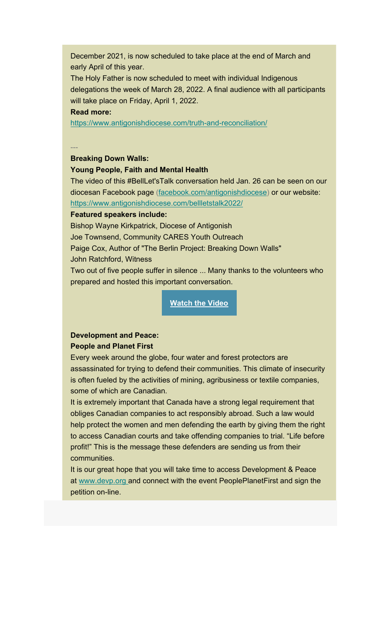December 2021, is now scheduled to take place at the end of March and early April of this year.

The Holy Father is now scheduled to meet with individual Indigenous delegations the week of March 28, 2022. A final audience with all participants will take place on Friday, April 1, 2022.

#### **Read more:**

[https://www.antigonishdiocese.com/truth-and-reconciliation/](https://antigonishdiocese.us11.list-manage.com/track/click?u=46108c95b96680ff598b4aa1d&id=8add24ef3e&e=60939d450d)

---

#### **Breaking Down Walls:**

#### **Young People, Faith and Mental Health**

The video of this #BellLet'sTalk conversation held Jan. 26 can be seen on our diocesan Facebook page ([facebook.com/antigonishdiocese\)](https://antigonishdiocese.us11.list-manage.com/track/click?u=46108c95b96680ff598b4aa1d&id=95e889d6e3&e=60939d450d) or our website: [https://www.antigonishdiocese.com/bellletstalk2022/](https://antigonishdiocese.us11.list-manage.com/track/click?u=46108c95b96680ff598b4aa1d&id=009047ab00&e=60939d450d)

#### **Featured speakers include:**

Bishop Wayne Kirkpatrick, Diocese of Antigonish Joe Townsend, Community CARES Youth Outreach Paige Cox, Author of "The Berlin Project: Breaking Down Walls"

John Ratchford, Witness

Two out of five people suffer in silence ... Many thanks to the volunteers who prepared and hosted this important conversation.

**[Watch the Video](https://antigonishdiocese.us11.list-manage.com/track/click?u=46108c95b96680ff598b4aa1d&id=1cceee647a&e=60939d450d)**

# **Development and Peace:**

#### **People and Planet First**

Every week around the globe, four water and forest protectors are assassinated for trying to defend their communities. This climate of insecurity is often fueled by the activities of mining, agribusiness or textile companies, some of which are Canadian.

It is extremely important that Canada have a strong legal requirement that obliges Canadian companies to act responsibly abroad. Such a law would help protect the women and men defending the earth by giving them the right to access Canadian courts and take offending companies to trial. "Life before profit!" This is the message these defenders are sending us from their communities.

It is our great hope that you will take time to access Development & Peace at [www.devp.org](https://antigonishdiocese.us11.list-manage.com/track/click?u=46108c95b96680ff598b4aa1d&id=c4d5764637&e=60939d450d) and connect with the event PeoplePlanetFirst and sign the petition on-line.